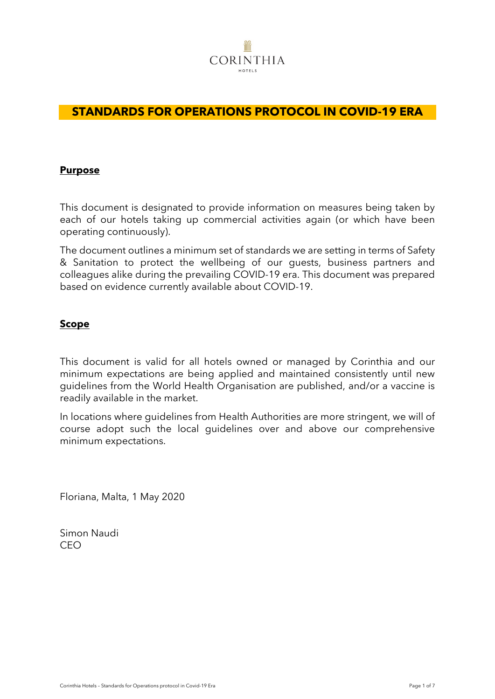

### **STANDARDS FOR OPERATIONS PROTOCOL IN COVID-19 ERA**

### **Purpose**

This document is designated to provide information on measures being taken by each of our hotels taking up commercial activities again (or which have been operating continuously).

The document outlines a minimum set of standards we are setting in terms of Safety & Sanitation to protect the wellbeing of our guests, business partners and colleagues alike during the prevailing COVID-19 era. This document was prepared based on evidence currently available about COVID-19.

### **Scope**

This document is valid for all hotels owned or managed by Corinthia and our minimum expectations are being applied and maintained consistently until new guidelines from the World Health Organisation are published, and/or a vaccine is readily available in the market.

In locations where guidelines from Health Authorities are more stringent, we will of course adopt such the local guidelines over and above our comprehensive minimum expectations.

Floriana, Malta, 1 May 2020

Simon Naudi CEO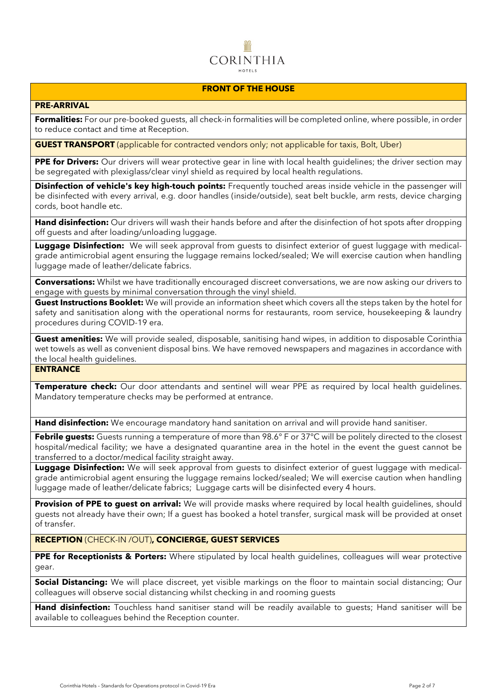#### **FRONT OF THE HOUSE**

### **PRE-ARRIVAL**

**Formalities:** For our pre-booked guests, all check-in formalities will be completed online, where possible, in order to reduce contact and time at Reception.

**GUEST TRANSPORT** (applicable for contracted vendors only; not applicable for taxis, Bolt, Uber)

**PPE for Drivers:** Our drivers will wear protective gear in line with local health guidelines; the driver section may be segregated with plexiglass/clear vinyl shield as required by local health regulations.

**Disinfection of vehicle's key high-touch points:** Frequently touched areas inside vehicle in the passenger will be disinfected with every arrival, e.g. door handles (inside/outside), seat belt buckle, arm rests, device charging cords, boot handle etc.

**Hand disinfection:** Our drivers will wash their hands before and after the disinfection of hot spots after dropping off guests and after loading/unloading luggage.

**Luggage Disinfection:** We will seek approval from quests to disinfect exterior of quest luggage with medicalgrade antimicrobial agent ensuring the luggage remains locked/sealed; We will exercise caution when handling luggage made of leather/delicate fabrics.

**Conversations:** Whilst we have traditionally encouraged discreet conversations, we are now asking our drivers to engage with guests by minimal conversation through the vinyl shield.

**Guest Instructions Booklet:** We will provide an information sheet which covers all the steps taken by the hotel for safety and sanitisation along with the operational norms for restaurants, room service, housekeeping & laundry procedures during COVID-19 era.

**Guest amenities:** We will provide sealed, disposable, sanitising hand wipes, in addition to disposable Corinthia wet towels as well as convenient disposal bins. We have removed newspapers and magazines in accordance with the local health guidelines.

### **ENTRANCE**

**Temperature check:** Our door attendants and sentinel will wear PPE as required by local health quidelines. Mandatory temperature checks may be performed at entrance.

**Hand disinfection:** We encourage mandatory hand sanitation on arrival and will provide hand sanitiser.

**Febrile guests:** Guests running a temperature of more than 98.6° F or 37°C will be politely directed to the closest hospital/medical facility; we have a designated quarantine area in the hotel in the event the guest cannot be transferred to a doctor/medical facility straight away.

**Luggage Disinfection:** We will seek approval from guests to disinfect exterior of guest luggage with medicalgrade antimicrobial agent ensuring the luggage remains locked/sealed; We will exercise caution when handling luggage made of leather/delicate fabrics; Luggage carts will be disinfected every 4 hours.

**Provision of PPE to guest on arrival:** We will provide masks where required by local health guidelines, should guests not already have their own; If a guest has booked a hotel transfer, surgical mask will be provided at onset of transfer.

### **RECEPTION** (CHECK-IN /OUT)**, CONCIERGE, GUEST SERVICES**

**PPE for Receptionists & Porters:** Where stipulated by local health guidelines, colleagues will wear protective gear.

**Social Distancing:** We will place discreet, yet visible markings on the floor to maintain social distancing; Our colleagues will observe social distancing whilst checking in and rooming guests

**Hand disinfection:** Touchless hand sanitiser stand will be readily available to guests; Hand sanitiser will be available to colleagues behind the Reception counter.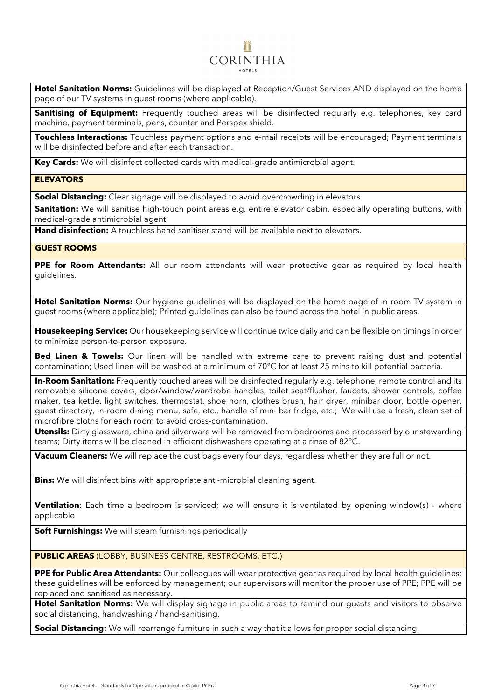**Hotel Sanitation Norms:** Guidelines will be displayed at Reception/Guest Services AND displayed on the home page of our TV systems in guest rooms (where applicable).

**Sanitising of Equipment:** Frequently touched areas will be disinfected reqularly e.g. telephones, key card machine, payment terminals, pens, counter and Perspex shield.

**Touchless Interactions:** Touchless payment options and e-mail receipts will be encouraged; Payment terminals will be disinfected before and after each transaction.

**Key Cards:** We will disinfect collected cards with medical-grade antimicrobial agent.

### **ELEVATORS**

**Social Distancing:** Clear signage will be displayed to avoid overcrowding in elevators.

**Sanitation:** We will sanitise high-touch point areas e.g. entire elevator cabin, especially operating buttons, with medical-grade antimicrobial agent.

**Hand disinfection:** A touchless hand sanitiser stand will be available next to elevators.

### **GUEST ROOMS**

**PPE for Room Attendants:** All our room attendants will wear protective gear as required by local health guidelines.

**Hotel Sanitation Norms:** Our hygiene guidelines will be displayed on the home page of in room TV system in guest rooms (where applicable); Printed guidelines can also be found across the hotel in public areas.

**Housekeeping Service:** Our housekeeping service will continue twice daily and can be flexible on timings in order to minimize person-to-person exposure.

**Bed Linen & Towels:** Our linen will be handled with extreme care to prevent raising dust and potential contamination; Used linen will be washed at a minimum of 70°C for at least 25 mins to kill potential bacteria.

**In-Room Sanitation:** Frequently touched areas will be disinfected regularly e.g. telephone, remote control and its removable silicone covers, door/window/wardrobe handles, toilet seat/flusher, faucets, shower controls, coffee maker, tea kettle, light switches, thermostat, shoe horn, clothes brush, hair dryer, minibar door, bottle opener, guest directory, in-room dining menu, safe, etc., handle of mini bar fridge, etc.; We will use a fresh, clean set of microfibre cloths for each room to avoid cross-contamination.

**Utensils:** Dirty glassware, china and silverware will be removed from bedrooms and processed by our stewarding teams; Dirty items will be cleaned in efficient dishwashers operating at a rinse of 82°C.

**Vacuum Cleaners:** We will replace the dust bags every four days, regardless whether they are full or not.

**Bins:** We will disinfect bins with appropriate anti-microbial cleaning agent.

**Ventilation**: Each time a bedroom is serviced; we will ensure it is ventilated by opening window(s) - where applicable

**Soft Furnishings:** We will steam furnishings periodically

**PUBLIC AREAS** (LOBBY, BUSINESS CENTRE, RESTROOMS, ETC.)

**PPE for Public Area Attendants:** Our colleagues will wear protective gear as required by local health guidelines; these guidelines will be enforced by management; our supervisors will monitor the proper use of PPE; PPE will be replaced and sanitised as necessary.

Hotel Sanitation Norms: We will display signage in public areas to remind our guests and visitors to observe social distancing, handwashing / hand-sanitising.

**Social Distancing:** We will rearrange furniture in such a way that it allows for proper social distancing.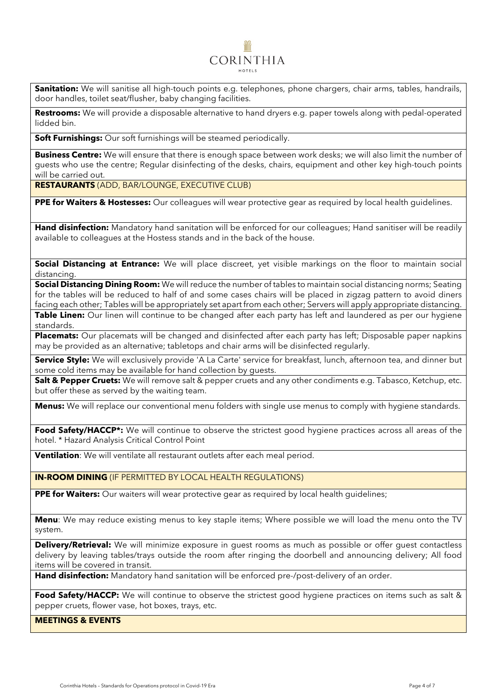**Sanitation:** We will sanitise all high-touch points e.g. telephones, phone chargers, chair arms, tables, handrails, door handles, toilet seat/flusher, baby changing facilities.

**Restrooms:** We will provide a disposable alternative to hand dryers e.g. paper towels along with pedal-operated lidded bin.

**Soft Furnishings:** Our soft furnishings will be steamed periodically.

**Business Centre:** We will ensure that there is enough space between work desks; we will also limit the number of guests who use the centre; Regular disinfecting of the desks, chairs, equipment and other key high-touch points will be carried out.

**RESTAURANTS** (ADD, BAR/LOUNGE, EXECUTIVE CLUB)

**PPE for Waiters & Hostesses:** Our colleagues will wear protective gear as required by local health guidelines.

**Hand disinfection:** Mandatory hand sanitation will be enforced for our colleagues; Hand sanitiser will be readily available to colleagues at the Hostess stands and in the back of the house.

**Social Distancing at Entrance:** We will place discreet, yet visible markings on the floor to maintain social distancing.

**Social Distancing Dining Room:** We will reduce the number of tables to maintain social distancing norms; Seating for the tables will be reduced to half of and some cases chairs will be placed in zigzag pattern to avoid diners facing each other; Tables will be appropriately set apart from each other; Servers will apply appropriate distancing. **Table Linen:** Our linen will continue to be changed after each party has left and laundered as per our hygiene standards.

**Placemats:** Our placemats will be changed and disinfected after each party has left; Disposable paper napkins may be provided as an alternative; tabletops and chair arms will be disinfected regularly.

**Service Style:** We will exclusively provide 'A La Carte' service for breakfast, lunch, afternoon tea, and dinner but some cold items may be available for hand collection by guests.

**Salt & Pepper Cruets:** We will remove salt & pepper cruets and any other condiments e.g. Tabasco, Ketchup, etc. but offer these as served by the waiting team.

**Menus:** We will replace our conventional menu folders with single use menus to comply with hygiene standards.

Food Safety/HACCP<sup>\*</sup>: We will continue to observe the strictest good hygiene practices across all areas of the hotel. \* Hazard Analysis Critical Control Point

**Ventilation**: We will ventilate all restaurant outlets after each meal period.

**IN-ROOM DINING** (IF PERMITTED BY LOCAL HEALTH REGULATIONS)

**PPE for Waiters:** Our waiters will wear protective gear as required by local health guidelines;

**Menu**: We may reduce existing menus to key staple items; Where possible we will load the menu onto the TV system.

**Delivery/Retrieval:** We will minimize exposure in guest rooms as much as possible or offer guest contactless delivery by leaving tables/trays outside the room after ringing the doorbell and announcing delivery; All food items will be covered in transit.

**Hand disinfection:** Mandatory hand sanitation will be enforced pre-/post-delivery of an order.

Food Safety/HACCP: We will continue to observe the strictest good hygiene practices on items such as salt & pepper cruets, flower vase, hot boxes, trays, etc.

**MEETINGS & EVENTS**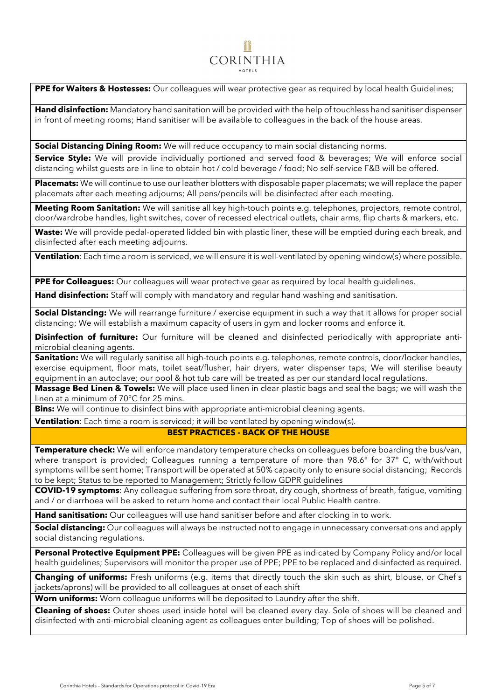

**PPE for Waiters & Hostesses:** Our colleagues will wear protective gear as required by local health Guidelines;

**Hand disinfection:** Mandatory hand sanitation will be provided with the help of touchless hand sanitiser dispenser in front of meeting rooms; Hand sanitiser will be available to colleagues in the back of the house areas.

**Social Distancing Dining Room:** We will reduce occupancy to main social distancing norms.

**Service Style:** We will provide individually portioned and served food & beverages; We will enforce social distancing whilst guests are in line to obtain hot / cold beverage / food; No self-service F&B will be offered.

**Placemats:** We will continue to use our leather blotters with disposable paper placemats; we will replace the paper placemats after each meeting adjourns; All pens/pencils will be disinfected after each meeting.

**Meeting Room Sanitation:** We will sanitise all key high-touch points e.g. telephones, projectors, remote control, door/wardrobe handles, light switches, cover of recessed electrical outlets, chair arms, flip charts & markers, etc.

**Waste:** We will provide pedal-operated lidded bin with plastic liner, these will be emptied during each break, and disinfected after each meeting adjourns.

**Ventilation**: Each time a room is serviced, we will ensure it is well-ventilated by opening window(s) where possible.

**PPE for Colleagues:** Our colleagues will wear protective gear as required by local health guidelines.

**Hand disinfection:** Staff will comply with mandatory and regular hand washing and sanitisation.

**Social Distancing:** We will rearrange furniture / exercise equipment in such a way that it allows for proper social distancing; We will establish a maximum capacity of users in gym and locker rooms and enforce it.

**Disinfection of furniture:** Our furniture will be cleaned and disinfected periodically with appropriate antimicrobial cleaning agents.

**Sanitation:** We will regularly sanitise all high-touch points e.g. telephones, remote controls, door/locker handles, exercise equipment, floor mats, toilet seat/flusher, hair dryers, water dispenser taps; We will sterilise beauty equipment in an autoclave; our pool & hot tub care will be treated as per our standard local regulations.

**Massage Bed Linen & Towels:** We will place used linen in clear plastic bags and seal the bags; we will wash the linen at a minimum of 70°C for 25 mins.

**Bins:** We will continue to disinfect bins with appropriate anti-microbial cleaning agents.

**Ventilation**: Each time a room is serviced; it will be ventilated by opening window(s).

**BEST PRACTICES - BACK OF THE HOUSE**

**Temperature check:** We will enforce mandatory temperature checks on colleagues before boarding the bus/van, where transport is provided; Colleagues running a temperature of more than 98.6° for 37° C, with/without symptoms will be sent home; Transport will be operated at 50% capacity only to ensure social distancing; Records to be kept; Status to be reported to Management; Strictly follow GDPR guidelines

**COVID-19 symptoms**: Any colleague suffering from sore throat, dry cough, shortness of breath, fatigue, vomiting and / or diarrhoea will be asked to return home and contact their local Public Health centre.

**Hand sanitisation:** Our colleagues will use hand sanitiser before and after clocking in to work.

**Social distancing:** Our colleagues will always be instructed not to engage in unnecessary conversations and apply social distancing regulations.

**Personal Protective Equipment PPE:** Colleagues will be given PPE as indicated by Company Policy and/or local health guidelines; Supervisors will monitor the proper use of PPE; PPE to be replaced and disinfected as required.

**Changing of uniforms:** Fresh uniforms (e.g. items that directly touch the skin such as shirt, blouse, or Chef's jackets/aprons) will be provided to all colleagues at onset of each shift

**Worn uniforms:** Worn colleague uniforms will be deposited to Laundry after the shift.

**Cleaning of shoes:** Outer shoes used inside hotel will be cleaned every day. Sole of shoes will be cleaned and disinfected with anti-microbial cleaning agent as colleagues enter building; Top of shoes will be polished.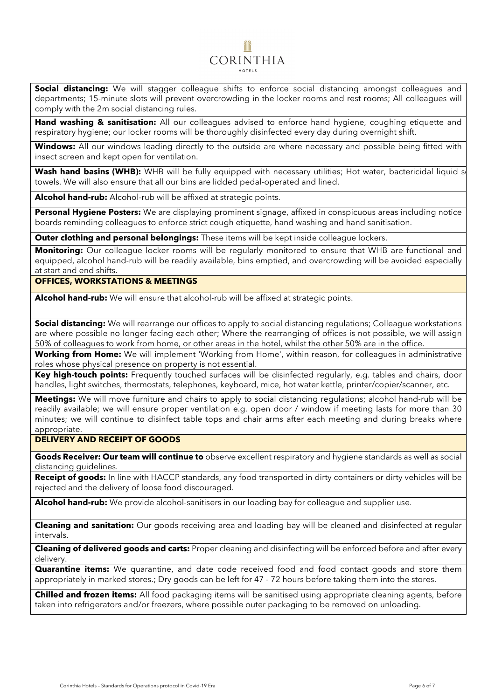**Social distancing:** We will stagger colleague shifts to enforce social distancing amongst colleagues and departments; 15-minute slots will prevent overcrowding in the locker rooms and rest rooms; All colleagues will comply with the 2m social distancing rules.

Hand washing & sanitisation: All our colleagues advised to enforce hand hygiene, coughing etiquette and respiratory hygiene; our locker rooms will be thoroughly disinfected every day during overnight shift.

**Windows:** All our windows leading directly to the outside are where necessary and possible being fitted with insect screen and kept open for ventilation.

Wash hand basins (WHB): WHB will be fully equipped with necessary utilities; Hot water, bactericidal liquid s towels. We will also ensure that all our bins are lidded pedal-operated and lined.

**Alcohol hand-rub:** Alcohol-rub will be affixed at strategic points.

**Personal Hygiene Posters:** We are displaying prominent signage, affixed in conspicuous areas including notice boards reminding colleagues to enforce strict cough etiquette, hand washing and hand sanitisation.

**Outer clothing and personal belongings:** These items will be kept inside colleague lockers.

**Monitoring:** Our colleague locker rooms will be regularly monitored to ensure that WHB are functional and equipped, alcohol hand-rub will be readily available, bins emptied, and overcrowding will be avoided especially at start and end shifts.

**OFFICES, WORKSTATIONS & MEETINGS**

**Alcohol hand-rub:** We will ensure that alcohol-rub will be affixed at strategic points.

**Social distancing:** We will rearrange our offices to apply to social distancing regulations; Colleague workstations are where possible no longer facing each other; Where the rearranging of offices is not possible, we will assign 50% of colleagues to work from home, or other areas in the hotel, whilst the other 50% are in the office.

**Working from Home:** We will implement 'Working from Home', within reason, for colleagues in administrative roles whose physical presence on property is not essential.

**Key high-touch points:** Frequently touched surfaces will be disinfected regularly, e.g. tables and chairs, door handles, light switches, thermostats, telephones, keyboard, mice, hot water kettle, printer/copier/scanner, etc.

**Meetings:** We will move furniture and chairs to apply to social distancing regulations; alcohol hand-rub will be readily available; we will ensure proper ventilation e.g. open door / window if meeting lasts for more than 30 minutes; we will continue to disinfect table tops and chair arms after each meeting and during breaks where appropriate.

**DELIVERY AND RECEIPT OF GOODS**

**Goods Receiver: Our team will continue to** observe excellent respiratory and hygiene standards as well as social distancing guidelines.

**Receipt of goods:** In line with HACCP standards, any food transported in dirty containers or dirty vehicles will be rejected and the delivery of loose food discouraged.

**Alcohol hand-rub:** We provide alcohol-sanitisers in our loading bay for colleague and supplier use.

**Cleaning and sanitation:** Our goods receiving area and loading bay will be cleaned and disinfected at regular intervals.

**Cleaning of delivered goods and carts:** Proper cleaning and disinfecting will be enforced before and after every delivery.

**Quarantine items:** We quarantine, and date code received food and food contact goods and store them appropriately in marked stores.; Dry goods can be left for 47 - 72 hours before taking them into the stores.

**Chilled and frozen items:** All food packaging items will be sanitised using appropriate cleaning agents, before taken into refrigerators and/or freezers, where possible outer packaging to be removed on unloading.